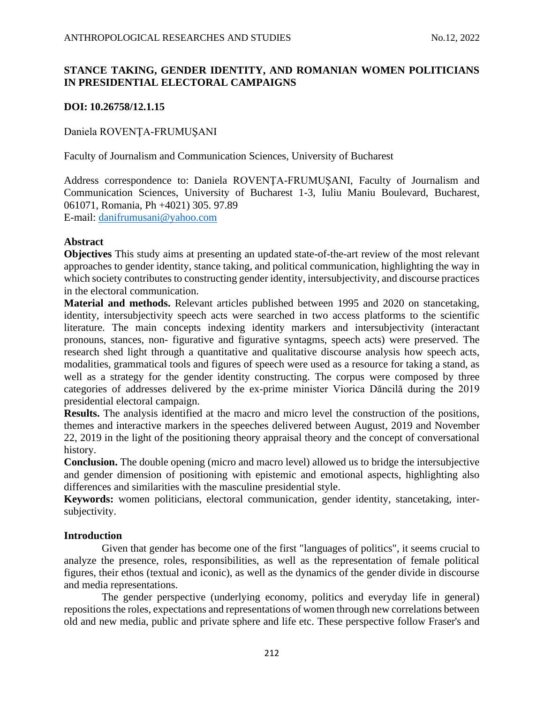# **STANCE TAKING, GENDER IDENTITY, AND ROMANIAN WOMEN POLITICIANS IN PRESIDENTIAL ELECTORAL CAMPAIGNS**

# **DOI: 10.26758/12.1.15**

Daniela ROVENŢA-FRUMUŞANI

Faculty of Journalism and Communication Sciences, University of Bucharest

Address correspondence to: Daniela ROVENŢA-FRUMUŞANI, Faculty of Journalism and Communication Sciences, University of Bucharest 1-3, Iuliu Maniu Boulevard, Bucharest, 061071, Romania, Ph +4021) 305. 97.89

E-mail: [danifrumusani@yahoo.com](mailto:danifrumusani@yahoo.com)

## **Abstract**

**Objectives** This study aims at presenting an updated state-of-the-art review of the most relevant approaches to gender identity, stance taking, and political communication, highlighting the way in which society contributes to constructing gender identity, intersubjectivity, and discourse practices in the electoral communication.

**Material and methods.** Relevant articles published between 1995 and 2020 on stancetaking, identity, intersubjectivity speech acts were searched in two access platforms to the scientific literature. The main concepts indexing identity markers and intersubjectivity (interactant pronouns, stances, non- figurative and figurative syntagms, speech acts) were preserved. The research shed light through a quantitative and qualitative discourse analysis how speech acts, modalities, grammatical tools and figures of speech were used as a resource for taking a stand, as well as a strategy for the gender identity constructing. The corpus were composed by three categories of addresses delivered by the ex-prime minister Viorica Dăncilă during the 2019 presidential electoral campaign.

**Results.** The analysis identified at the macro and micro level the construction of the positions, themes and interactive markers in the speeches delivered between August, 2019 and November 22, 2019 in the light of the positioning theory appraisal theory and the concept of conversational history.

**Conclusion.** The double opening (micro and macro level) allowed us to bridge the intersubjective and gender dimension of positioning with epistemic and emotional aspects, highlighting also differences and similarities with the masculine presidential style.

**Keywords:** women politicians, electoral communication, gender identity, stancetaking, intersubjectivity.

## **Introduction**

Given that gender has become one of the first "languages of politics", it seems crucial to analyze the presence, roles, responsibilities, as well as the representation of female political figures, their ethos (textual and iconic), as well as the dynamics of the gender divide in discourse and media representations.

The gender perspective (underlying economy, politics and everyday life in general) repositions the roles, expectations and representations of women through new correlations between old and new media, public and private sphere and life etc. These perspective follow Fraser's and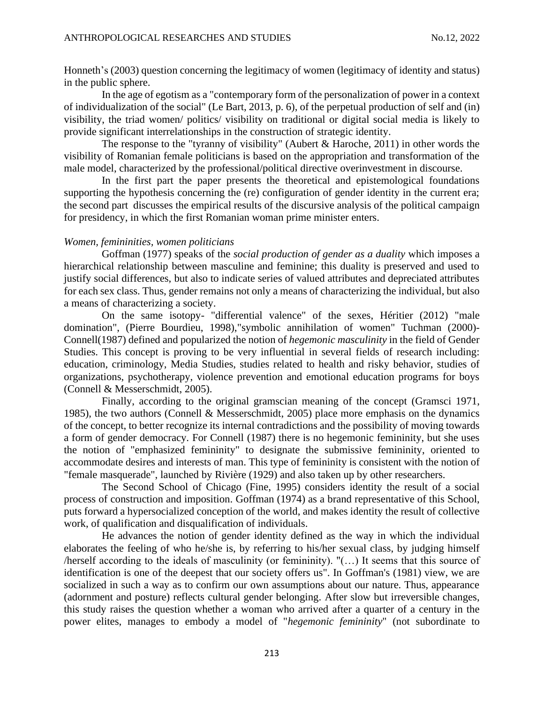Honneth's (2003) question concerning the legitimacy of women (legitimacy of identity and status) in the public sphere.

In the age of egotism as a "contemporary form of the personalization of power in a context of individualization of the social" (Le Bart, 2013, p. 6), of the perpetual production of self and (in) visibility, the triad women/ politics/ visibility on traditional or digital social media is likely to provide significant interrelationships in the construction of strategic identity.

The response to the "tyranny of visibility" (Aubert & Haroche, 2011) in other words the visibility of Romanian female politicians is based on the appropriation and transformation of the male model, characterized by the professional/political directive overinvestment in discourse.

In the first part the paper presents the theoretical and epistemological foundations supporting the hypothesis concerning the (re) configuration of gender identity in the current era; the second part discusses the empirical results of the discursive analysis of the political campaign for presidency, in which the first Romanian woman prime minister enters.

## *Women, femininities, women politicians*

Goffman (1977) speaks of the *social production of gender as a duality* which imposes a hierarchical relationship between masculine and feminine; this duality is preserved and used to justify social differences, but also to indicate series of valued attributes and depreciated attributes for each sex class. Thus, gender remains not only a means of characterizing the individual, but also a means of characterizing a society.

On the same isotopy- "differential valence" of the sexes, Héritier (2012) "male domination", (Pierre Bourdieu, 1998),"symbolic annihilation of women" Tuchman (2000)- Connell(1987) defined and popularized the notion of *hegemonic masculinity* in the field of Gender Studies. This concept is proving to be very influential in several fields of research including: education, criminology, Media Studies, studies related to health and risky behavior, studies of organizations, psychotherapy, violence prevention and emotional education programs for boys (Connell & Messerschmidt, 2005).

Finally, according to the original gramscian meaning of the concept (Gramsci 1971, 1985), the two authors (Connell & Messerschmidt, 2005) place more emphasis on the dynamics of the concept, to better recognize its internal contradictions and the possibility of moving towards a form of gender democracy. For Connell (1987) there is no hegemonic femininity, but she uses the notion of "emphasized femininity" to designate the submissive femininity, oriented to accommodate desires and interests of man. This type of femininity is consistent with the notion of "female masquerade", launched by Rivière (1929) and also taken up by other researchers.

The Second School of Chicago (Fine, 1995) considers identity the result of a social process of construction and imposition. Goffman (1974) as a brand representative of this School, puts forward a hypersocialized conception of the world, and makes identity the result of collective work, of qualification and disqualification of individuals.

He advances the notion of gender identity defined as the way in which the individual elaborates the feeling of who he/she is, by referring to his/her sexual class, by judging himself /herself according to the ideals of masculinity (or femininity). "(…) It seems that this source of identification is one of the deepest that our society offers us". In Goffman's (1981) view, we are socialized in such a way as to confirm our own assumptions about our nature. Thus, appearance (adornment and posture) reflects cultural gender belonging. After slow but irreversible changes, this study raises the question whether a woman who arrived after a quarter of a century in the power elites, manages to embody a model of "*hegemonic femininity*" (not subordinate to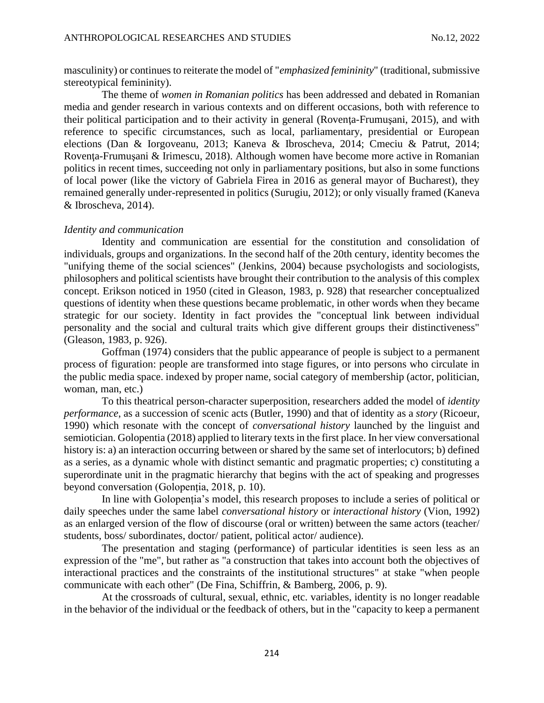masculinity) or continues to reiterate the model of "*emphasized femininity*" (traditional, submissive stereotypical femininity).

The theme of *women in Romanian politics* has been addressed and debated in Romanian media and gender research in various contexts and on different occasions, both with reference to their political participation and to their activity in general (Rovenţa-Frumuşani, 2015), and with reference to specific circumstances, such as local, parliamentary, presidential or European elections (Dan & Iorgoveanu, 2013; Kaneva & Ibroscheva, 2014; Cmeciu & Patrut, 2014; Rovenţa-Frumuşani & Irimescu, 2018). Although women have become more active in Romanian politics in recent times, succeeding not only in parliamentary positions, but also in some functions of local power (like the victory of Gabriela Firea in 2016 as general mayor of Bucharest), they remained generally under-represented in politics (Surugiu, 2012); or only visually framed (Kaneva & Ibroscheva, 2014).

## *Identity and communication*

Identity and communication are essential for the constitution and consolidation of individuals, groups and organizations. In the second half of the 20th century, identity becomes the "unifying theme of the social sciences" (Jenkins, 2004) because psychologists and sociologists, philosophers and political scientists have brought their contribution to the analysis of this complex concept. Erikson noticed in 1950 (cited in Gleason, 1983, p. 928) that researcher conceptualized questions of identity when these questions became problematic, in other words when they became strategic for our society. Identity in fact provides the "conceptual link between individual personality and the social and cultural traits which give different groups their distinctiveness" (Gleason, 1983, p. 926).

Goffman (1974) considers that the public appearance of people is subject to a permanent process of figuration: people are transformed into stage figures, or into persons who circulate in the public media space. indexed by proper name, social category of membership (actor, politician, woman, man, etc.)

To this theatrical person-character superposition, researchers added the model of *identity performance*, as a succession of scenic acts (Butler, 1990) and that of identity as a *story* (Ricoeur, 1990) which resonate with the concept of *conversational history* launched by the linguist and semiotician. Golopentia (2018) applied to literary texts in the first place. In her view conversational history is: a) an interaction occurring between or shared by the same set of interlocutors; b) defined as a series, as a dynamic whole with distinct semantic and pragmatic properties; c) constituting a superordinate unit in the pragmatic hierarchy that begins with the act of speaking and progresses beyond conversation (Golopenția, 2018, p. 10).

In line with Golopenția's model, this research proposes to include a series of political or daily speeches under the same label *conversational history* or *interactional history* (Vion, 1992) as an enlarged version of the flow of discourse (oral or written) between the same actors (teacher/ students, boss/ subordinates, doctor/ patient, political actor/ audience).

The presentation and staging (performance) of particular identities is seen less as an expression of the "me", but rather as "a construction that takes into account both the objectives of interactional practices and the constraints of the institutional structures" at stake "when people communicate with each other" (De Fina, Schiffrin, & Bamberg, 2006, p. 9).

At the crossroads of cultural, sexual, ethnic, etc. variables, identity is no longer readable in the behavior of the individual or the feedback of others, but in the "capacity to keep a permanent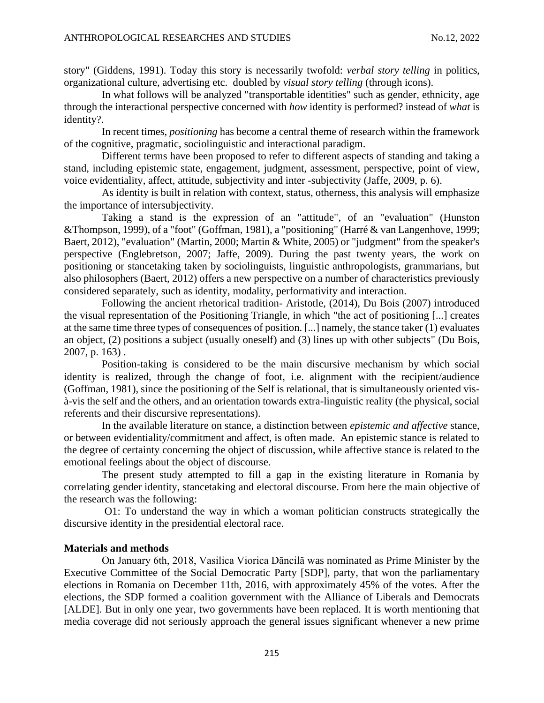story" (Giddens, 1991). Today this story is necessarily twofold: *verbal story telling* in politics, organizational culture, advertising etc. doubled by *visual story telling* (through icons).

In what follows will be analyzed "transportable identities" such as gender, ethnicity, age through the interactional perspective concerned with *how* identity is performed? instead of *what* is identity?.

In recent times, *positioning* has become a central theme of research within the framework of the cognitive, pragmatic, sociolinguistic and interactional paradigm.

Different terms have been proposed to refer to different aspects of standing and taking a stand, including epistemic state, engagement, judgment, assessment, perspective, point of view, voice evidentiality, affect, attitude, subjectivity and inter -subjectivity (Jaffe, 2009, p. 6).

As identity is built in relation with context, status, otherness, this analysis will emphasize the importance of intersubjectivity.

Taking a stand is the expression of an "attitude", of an "evaluation" (Hunston &Thompson, 1999), of a "foot" (Goffman, 1981), a "positioning" (Harré & van Langenhove, 1999; Baert, 2012), "evaluation" (Martin, 2000; Martin & White, 2005) or "judgment" from the speaker's perspective (Englebretson, 2007; Jaffe, 2009). During the past twenty years, the work on positioning or stancetaking taken by sociolinguists, linguistic anthropologists, grammarians, but also philosophers (Baert, 2012) offers a new perspective on a number of characteristics previously considered separately, such as identity, modality, performativity and interaction.

Following the ancient rhetorical tradition- Aristotle, (2014), Du Bois (2007) introduced the visual representation of the Positioning Triangle, in which "the act of positioning [...] creates at the same time three types of consequences of position. [...] namely, the stance taker (1) evaluates an object, (2) positions a subject (usually oneself) and (3) lines up with other subjects" (Du Bois, 2007, p. 163) .

Position-taking is considered to be the main discursive mechanism by which social identity is realized, through the change of foot, i.e. alignment with the recipient/audience (Goffman, 1981), since the positioning of the Self is relational, that is simultaneously oriented visà-vis the self and the others, and an orientation towards extra-linguistic reality (the physical, social referents and their discursive representations).

In the available literature on stance, a distinction between *epistemic and affective* stance, or between evidentiality/commitment and affect, is often made. An epistemic stance is related to the degree of certainty concerning the object of discussion, while affective stance is related to the emotional feelings about the object of discourse.

The present study attempted to fill a gap in the existing literature in Romania by correlating gender identity, stancetaking and electoral discourse. From here the main objective of the research was the following:

O1: To understand the way in which a woman politician constructs strategically the discursive identity in the presidential electoral race.

## **Materials and methods**

On January 6th, 2018, Vasilica Viorica Dăncilă was nominated as Prime Minister by the Executive Committee of the Social Democratic Party [SDP], party, that won the parliamentary elections in Romania on December 11th, 2016, with approximately 45% of the votes. After the elections, the SDP formed a coalition government with the Alliance of Liberals and Democrats [ALDE]. But in only one year, two governments have been replaced. It is worth mentioning that media coverage did not seriously approach the general issues significant whenever a new prime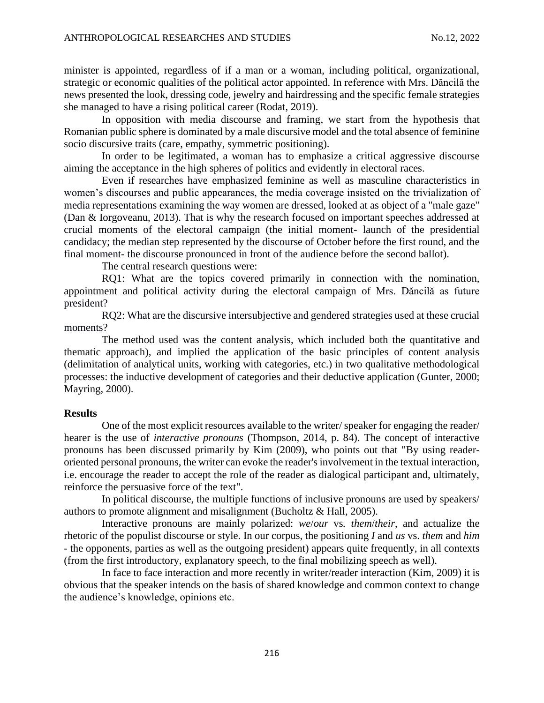minister is appointed, regardless of if a man or a woman, including political, organizational, strategic or economic qualities of the political actor appointed. In reference with Mrs. Dăncilă the news presented the look, dressing code, jewelry and hairdressing and the specific female strategies she managed to have a rising political career (Rodat, 2019).

In opposition with media discourse and framing, we start from the hypothesis that Romanian public sphere is dominated by a male discursive model and the total absence of feminine socio discursive traits (care, empathy, symmetric positioning).

In order to be legitimated, a woman has to emphasize a critical aggressive discourse aiming the acceptance in the high spheres of politics and evidently in electoral races.

Even if researches have emphasized feminine as well as masculine characteristics in women's discourses and public appearances, the media coverage insisted on the trivialization of media representations examining the way women are dressed, looked at as object of a "male gaze" (Dan & Iorgoveanu, 2013). That is why the research focused on important speeches addressed at crucial moments of the electoral campaign (the initial moment- launch of the presidential candidacy; the median step represented by the discourse of October before the first round, and the final moment- the discourse pronounced in front of the audience before the second ballot).

The central research questions were:

RQ1: What are the topics covered primarily in connection with the nomination, appointment and political activity during the electoral campaign of Mrs. Dăncilă as future president?

RQ2: What are the discursive intersubjective and gendered strategies used at these crucial moments?

The method used was the content analysis, which included both the quantitative and thematic approach), and implied the application of the basic principles of content analysis (delimitation of analytical units, working with categories, etc.) in two qualitative methodological processes: the inductive development of categories and their deductive application (Gunter, 2000; Mayring, 2000).

#### **Results**

One of the most explicit resources available to the writer/ speaker for engaging the reader/ hearer is the use of *interactive pronouns* (Thompson, 2014, p. 84). The concept of interactive pronouns has been discussed primarily by Kim (2009), who points out that "By using readeroriented personal pronouns, the writer can evoke the reader's involvement in the textual interaction, i.e. encourage the reader to accept the role of the reader as dialogical participant and, ultimately, reinforce the persuasive force of the text".

In political discourse, the multiple functions of inclusive pronouns are used by speakers/ authors to promote alignment and misalignment (Bucholtz & Hall, 2005).

Interactive pronouns are mainly polarized: *we*/*our* vs*. them*/*their*, and actualize the rhetoric of the populist discourse or style. In our corpus, the positioning *I* and *us* vs. *them* and *him* - the opponents, parties as well as the outgoing president) appears quite frequently, in all contexts (from the first introductory, explanatory speech, to the final mobilizing speech as well).

In face to face interaction and more recently in writer/reader interaction (Kim, 2009) it is obvious that the speaker intends on the basis of shared knowledge and common context to change the audience's knowledge, opinions etc.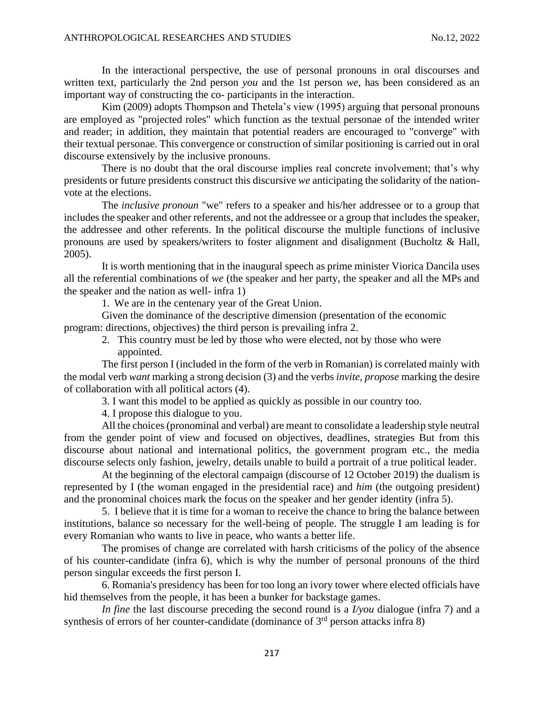In the interactional perspective, the use of personal pronouns in oral discourses and written text, particularly the 2nd person *you* and the 1st person *we*, has been considered as an important way of constructing the co- participants in the interaction.

Kim (2009) adopts Thompson and Thetela's view (1995) arguing that personal pronouns are employed as "projected roles" which function as the textual personae of the intended writer and reader; in addition, they maintain that potential readers are encouraged to "converge" with their textual personae. This convergence or construction of similar positioning is carried out in oral discourse extensively by the inclusive pronouns.

There is no doubt that the oral discourse implies real concrete involvement; that's why presidents or future presidents construct this discursive *we* anticipating the solidarity of the nationvote at the elections.

The *inclusive pronoun* "we" refers to a speaker and his/her addressee or to a group that includes the speaker and other referents, and not the addressee or a group that includes the speaker, the addressee and other referents. In the political discourse the multiple functions of inclusive pronouns are used by speakers/writers to foster alignment and disalignment (Bucholtz & Hall, 2005).

It is worth mentioning that in the inaugural speech as prime minister Viorica Dancila uses all the referential combinations of *we* (the speaker and her party, the speaker and all the MPs and the speaker and the nation as well- infra 1)

1. We are in the centenary year of the Great Union.

Given the dominance of the descriptive dimension (presentation of the economic program: directions, objectives) the third person is prevailing infra 2.

2. This country must be led by those who were elected, not by those who were appointed.

The first person I (included in the form of the verb in Romanian) is correlated mainly with the modal verb *want* marking a strong decision (3) and the verbs *invite, propose* marking the desire of collaboration with all political actors (4).

3. I want this model to be applied as quickly as possible in our country too.

4. I propose this dialogue to you.

All the choices (pronominal and verbal) are meant to consolidate a leadership style neutral from the gender point of view and focused on objectives, deadlines, strategies But from this discourse about national and international politics, the government program etc., the media discourse selects only fashion, jewelry, details unable to build a portrait of a true political leader.

At the beginning of the electoral campaign (discourse of 12 October 2019) the dualism is represented by I (the woman engaged in the presidential race) and *him* (the outgoing president) and the pronominal choices mark the focus on the speaker and her gender identity (infra 5).

5. I believe that it is time for a woman to receive the chance to bring the balance between institutions, balance so necessary for the well-being of people. The struggle I am leading is for every Romanian who wants to live in peace, who wants a better life.

The promises of change are correlated with harsh criticisms of the policy of the absence of his counter-candidate (infra 6), which is why the number of personal pronouns of the third person singular exceeds the first person I.

6. Romania's presidency has been for too long an ivory tower where elected officials have hid themselves from the people, it has been a bunker for backstage games.

*In fine* the last discourse preceding the second round is a *I/you* dialogue (infra 7) and a synthesis of errors of her counter-candidate (dominance of 3<sup>rd</sup> person attacks infra 8)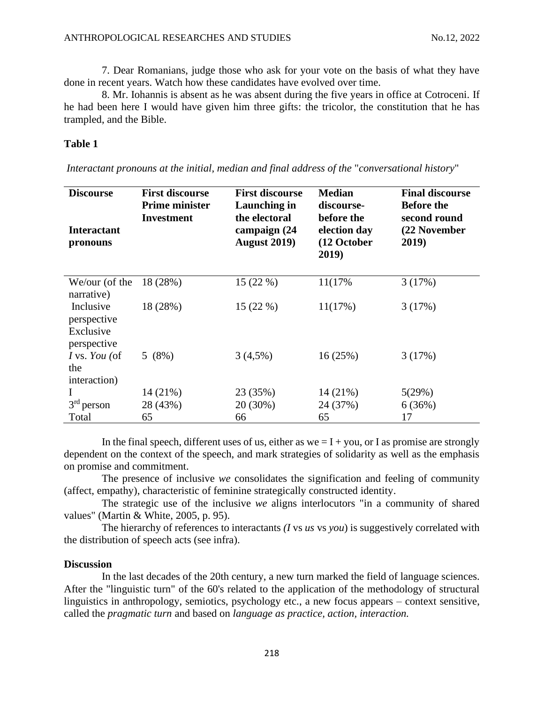7. Dear Romanians, judge those who ask for your vote on the basis of what they have done in recent years. Watch how these candidates have evolved over time.

8. Mr. Iohannis is absent as he was absent during the five years in office at Cotroceni. If he had been here I would have given him three gifts: the tricolor, the constitution that he has trampled, and the Bible.

## **Table 1**

| <b>Discourse</b><br><b>Interactant</b><br>pronouns   | <b>First discourse</b><br><b>Prime minister</b><br><b>Investment</b> | <b>First discourse</b><br>Launching in<br>the electoral<br>campaign (24<br><b>August 2019)</b> | <b>Median</b><br>discourse-<br>before the<br>election day<br>(12 October<br>2019) | <b>Final discourse</b><br><b>Before the</b><br>second round<br>(22 November<br>2019) |
|------------------------------------------------------|----------------------------------------------------------------------|------------------------------------------------------------------------------------------------|-----------------------------------------------------------------------------------|--------------------------------------------------------------------------------------|
| We/our (of the<br>narrative)                         | 18 (28%)                                                             | 15(22%)                                                                                        | 11(17%                                                                            | 3(17%)                                                                               |
| Inclusive<br>perspective<br>Exclusive<br>perspective | 18 (28%)                                                             | 15(22%)                                                                                        | 11(17%)                                                                           | 3(17%)                                                                               |
| I vs. You (of<br>the<br>interaction)                 | 5(8%)                                                                | $3(4,5\%)$                                                                                     | 16(25%)                                                                           | 3(17%)                                                                               |
|                                                      | $14(21\%)$                                                           | 23 (35%)                                                                                       | $14(21\%)$                                                                        | 5(29%)                                                                               |
| $3rd$ person                                         | 28 (43%)                                                             | $20(30\%)$                                                                                     | 24 (37%)                                                                          | 6(36%)                                                                               |
| Total                                                | 65                                                                   | 66                                                                                             | 65                                                                                | 17                                                                                   |

*Interactant pronouns at the initial, median and final address of the* "*conversational history*"

In the final speech, different uses of us, either as  $we = I + you$ , or I as promise are strongly dependent on the context of the speech, and mark strategies of solidarity as well as the emphasis on promise and commitment.

The presence of inclusive *we* consolidates the signification and feeling of community (affect, empathy), characteristic of feminine strategically constructed identity.

The strategic use of the inclusive *we* aligns interlocutors "in a community of shared values" (Martin & White, 2005, p. 95).

The hierarchy of references to interactants *(I* vs *us* vs *you*) is suggestively correlated with the distribution of speech acts (see infra).

#### **Discussion**

In the last decades of the 20th century, a new turn marked the field of language sciences. After the "linguistic turn" of the 60's related to the application of the methodology of structural linguistics in anthropology, semiotics, psychology etc., a new focus appears – context sensitive, called the *pragmatic turn* and based on *language as practice, action, interaction.*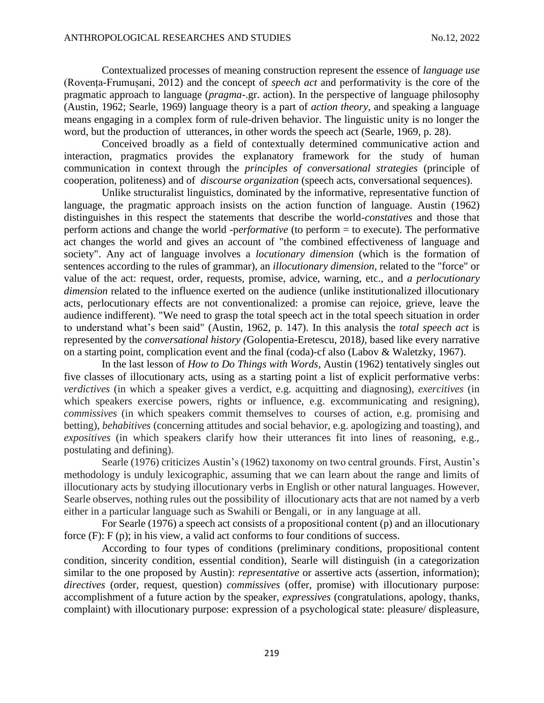Contextualized processes of meaning construction represent the essence of *language use* (Rovența-Frumușani, 2012) and the concept of *speech act* and performativity is the core of the pragmatic approach to language (*pragma*-.gr. action). In the perspective of language philosophy (Austin, 1962; Searle, 1969) language theory is a part of *action theory*, and speaking a language means engaging in a complex form of rule-driven behavior. The linguistic unity is no longer the word, but the production of utterances, in other words the speech act (Searle, 1969, p. 28).

Conceived broadly as a field of contextually determined communicative action and interaction, pragmatics provides the explanatory framework for the study of human communication in context through the *principles of conversational strategies* (principle of cooperation, politeness) and of *discourse organization* (speech acts, conversational sequences).

Unlike structuralist linguistics, dominated by the informative, representative function of language, the pragmatic approach insists on the action function of language. Austin (1962) distinguishes in this respect the statements that describe the world-*constatives* and those that perform actions and change the world -p*erformative* (to perform = to execute). The performative act changes the world and gives an account of "the combined effectiveness of language and society". Any act of language involves a *locutionary dimension* (which is the formation of sentences according to the rules of grammar), an *illocutionary dimension*, related to the "force" or value of the act: request, order, requests, promise, advice, warning, etc., and *a perlocutionary dimension* related to the influence exerted on the audience (unlike institutionalized illocutionary acts, perlocutionary effects are not conventionalized: a promise can rejoice, grieve, leave the audience indifferent). "We need to grasp the total speech act in the total speech situation in order to understand what's been said" (Austin, 1962, p. 147). In this analysis the *total speech act* is represented by the *conversational history (*Golopentia-Eretescu, 2018*),* based like every narrative on a starting point, complication event and the final (coda)-cf also (Labov & Waletzky, 1967).

In the last lesson of *How to Do Things with Words,* Austin (1962) tentatively singles out five classes of illocutionary acts, using as a starting point a list of explicit performative verbs: *verdictives* (in which a speaker gives a verdict, e.g. acquitting and diagnosing), *exercitives* (in which speakers exercise powers, rights or influence, e.g. excommunicating and resigning), *commissives* (in which speakers commit themselves to courses of action, e.g. promising and betting), *behabitives* (concerning attitudes and social behavior, e.g. apologizing and toasting), and *expositives* (in which speakers clarify how their utterances fit into lines of reasoning, e.g., postulating and defining).

Searle (1976) criticizes Austin's (1962) taxonomy on two central grounds. First, Austin's methodology is unduly lexicographic, assuming that we can learn about the range and limits of illocutionary acts by studying illocutionary verbs in English or other natural languages. However, Searle observes, nothing rules out the possibility of illocutionary acts that are not named by a verb either in a particular language such as Swahili or Bengali, or in any language at all.

For Searle (1976) a speech act consists of a propositional content (p) and an illocutionary force  $(F)$ :  $F(p)$ ; in his view, a valid act conforms to four conditions of success.

According to four types of conditions (preliminary conditions, propositional content condition, sincerity condition, essential condition), Searle will distinguish (in a categorization similar to the one proposed by Austin): *representative* or assertive acts (assertion, information); *directives* (order, request, question) *commissives* (offer, promise) with illocutionary purpose: accomplishment of a future action by the speaker, *expressives* (congratulations, apology, thanks, complaint) with illocutionary purpose: expression of a psychological state: pleasure/ displeasure,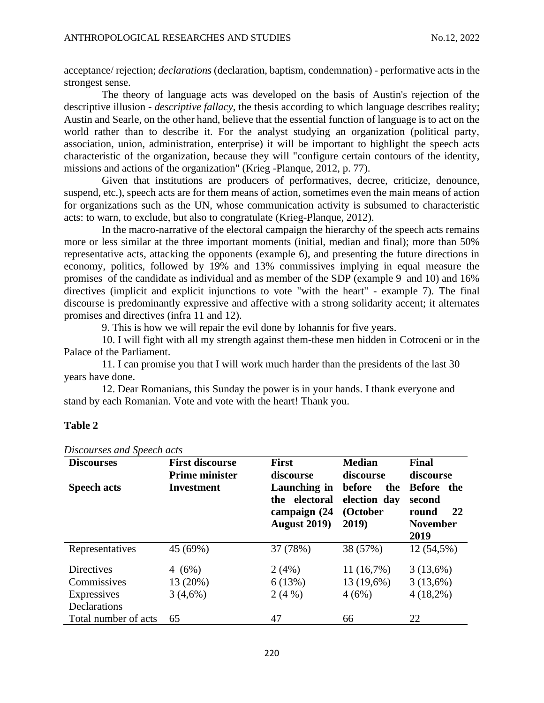acceptance/ rejection; *declarations* (declaration, baptism, condemnation) - performative acts in the strongest sense.

The theory of language acts was developed on the basis of Austin's rejection of the descriptive illusion - *descriptive fallacy*, the thesis according to which language describes reality; Austin and Searle, on the other hand, believe that the essential function of language is to act on the world rather than to describe it. For the analyst studying an organization (political party, association, union, administration, enterprise) it will be important to highlight the speech acts characteristic of the organization, because they will "configure certain contours of the identity, missions and actions of the organization" (Krieg -Planque, 2012, p. 77).

Given that institutions are producers of performatives, decree, criticize, denounce, suspend, etc.), speech acts are for them means of action, sometimes even the main means of action for organizations such as the UN, whose communication activity is subsumed to characteristic acts: to warn, to exclude, but also to congratulate (Krieg-Planque, 2012).

In the macro-narrative of the electoral campaign the hierarchy of the speech acts remains more or less similar at the three important moments (initial, median and final); more than 50% representative acts, attacking the opponents (example 6), and presenting the future directions in economy, politics, followed by 19% and 13% commissives implying in equal measure the promises of the candidate as individual and as member of the SDP (example 9 and 10) and 16% directives (implicit and explicit injunctions to vote "with the heart" - example 7). The final discourse is predominantly expressive and affective with a strong solidarity accent; it alternates promises and directives (infra 11 and 12).

9. This is how we will repair the evil done by Iohannis for five years.

10. I will fight with all my strength against them-these men hidden in Cotroceni or in the Palace of the Parliament.

11. I can promise you that I will work much harder than the presidents of the last 30 years have done.

12. Dear Romanians, this Sunday the power is in your hands. I thank everyone and stand by each Romanian. Vote and vote with the heart! Thank you.

## **Table 2**

| <b>Discourses</b><br><b>Speech acts</b> | <b>First discourse</b><br><b>Prime minister</b><br><b>Investment</b> | <b>First</b><br>discourse<br>Launching in             | <b>Median</b><br>discourse<br><b>before</b><br>the | <b>Final</b><br>discourse<br><b>Before</b><br>the |
|-----------------------------------------|----------------------------------------------------------------------|-------------------------------------------------------|----------------------------------------------------|---------------------------------------------------|
|                                         |                                                                      | the electoral<br>campaign (24<br><b>August 2019</b> ) | election day<br>(October<br>2019)                  | second<br>-22<br>round<br><b>November</b><br>2019 |
| Representatives                         | 45 (69%)                                                             | 37 (78%)                                              | 38 (57%)                                           | 12 (54,5%)                                        |
| Directives                              | 4 $(6%)$                                                             | 2(4%)                                                 | $11(16,7\%)$                                       | 3(13,6%)                                          |
| Commissives                             | 13 (20%)                                                             | 6(13%)                                                | 13 (19,6%)                                         | 3(13,6%)                                          |
| Expressives                             | 3(4,6%)                                                              | 2(4%)                                                 | 4(6%)                                              | $4(18,2\%)$                                       |
| Declarations                            |                                                                      |                                                       |                                                    |                                                   |
| Total number of acts                    | 65                                                                   | 47                                                    | 66                                                 | 22                                                |

*Discourses and Speech acts*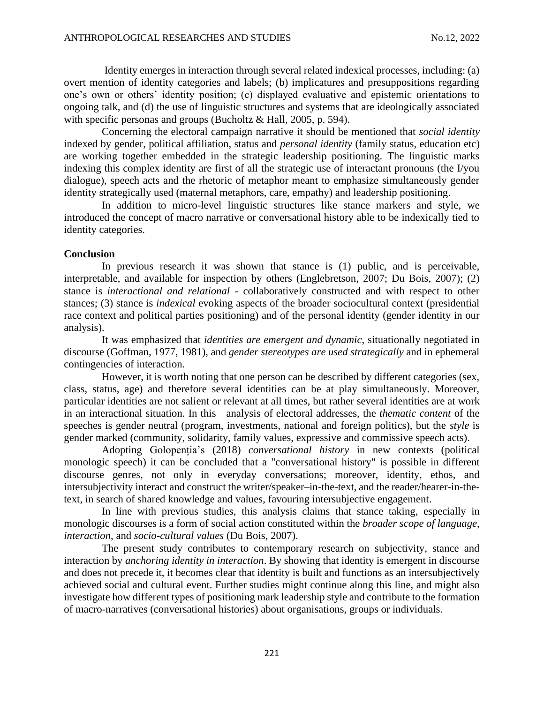Identity emerges in interaction through several related indexical processes, including: (a) overt mention of identity categories and labels; (b) implicatures and presuppositions regarding one's own or others' identity position; (c) displayed evaluative and epistemic orientations to ongoing talk, and (d) the use of linguistic structures and systems that are ideologically associated with specific personas and groups (Bucholtz & Hall, 2005, p. 594).

Concerning the electoral campaign narrative it should be mentioned that *social identity* indexed by gender, political affiliation, status and *personal identity* (family status, education etc) are working together embedded in the strategic leadership positioning. The linguistic marks indexing this complex identity are first of all the strategic use of interactant pronouns (the I/you dialogue), speech acts and the rhetoric of metaphor meant to emphasize simultaneously gender identity strategically used (maternal metaphors, care, empathy) and leadership positioning.

In addition to micro-level linguistic structures like stance markers and style, we introduced the concept of macro narrative or conversational history able to be indexically tied to identity categories.

## **Conclusion**

In previous research it was shown that stance is (1) public, and is perceivable, interpretable, and available for inspection by others (Englebretson, 2007; Du Bois, 2007); (2) stance is *interactional and relational* - collaboratively constructed and with respect to other stances; (3) stance is *indexical* evoking aspects of the broader sociocultural context (presidential race context and political parties positioning) and of the personal identity (gender identity in our analysis).

It was emphasized that *identities are emergent and dynamic*, situationally negotiated in discourse (Goffman, 1977, 1981), and *gender stereotypes are used strategically* and in ephemeral contingencies of interaction*.*

However, it is worth noting that one person can be described by different categories (sex, class, status, age) and therefore several identities can be at play simultaneously. Moreover, particular identities are not salient or relevant at all times, but rather several identities are at work in an interactional situation. In this analysis of electoral addresses, the *thematic content* of the speeches is gender neutral (program, investments, national and foreign politics), but the *style* is gender marked (community, solidarity, family values, expressive and commissive speech acts).

Adopting Golopenția's (2018) *conversational history* in new contexts (political monologic speech) it can be concluded that a "conversational history" is possible in different discourse genres, not only in everyday conversations; moreover, identity, ethos, and intersubjectivity interact and construct the writer/speaker–in-the-text, and the reader/hearer-in-thetext, in search of shared knowledge and values, favouring intersubjective engagement.

In line with previous studies, this analysis claims that stance taking, especially in monologic discourses is a form of social action constituted within the *broader scope of language*, *interaction*, and *socio-cultural values* (Du Bois, 2007).

The present study contributes to contemporary research on subjectivity, stance and interaction by *anchoring identity in interaction*. By showing that identity is emergent in discourse and does not precede it, it becomes clear that identity is built and functions as an intersubjectively achieved social and cultural event. Further studies might continue along this line, and might also investigate how different types of positioning mark leadership style and contribute to the formation of macro-narratives (conversational histories) about organisations, groups or individuals.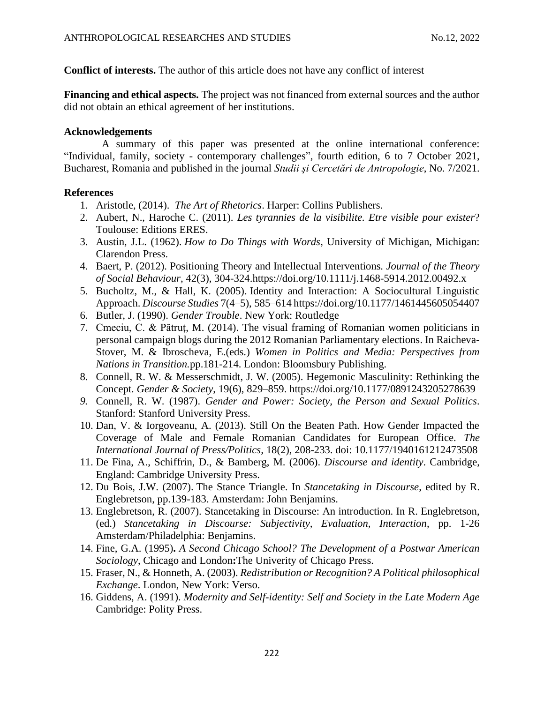**Conflict of interests.** The author of this article does not have any conflict of interest

**Financing and ethical aspects.** The project was not financed from external sources and the author did not obtain an ethical agreement of her institutions.

# **Acknowledgements**

A summary of this paper was presented at the online international conference: "Individual, family, society - contemporary challenges", fourth edition, 6 to 7 October 2021, Bucharest, Romania and published in the journal *Studii şi Cercetări de Antropologie*, No. 7/2021.

# **References**

- 1. Aristotle, (2014). *The Art of Rhetorics*. Harper: Collins Publishers.
- 2. Aubert, N., Haroche C. (2011). *Les tyrannies de la visibilite. Etre visible pour exister*? Toulouse: Editions ERES.
- 3. Austin, J.L. (1962). *How to Do Things with Words*, University of Michigan, Michigan: Clarendon Press.
- 4. Baert, P. (2012). Positioning Theory and Intellectual Interventions*. Journal of the Theory of Social Behaviour*, 42(3), 304-324[.https://doi.org/10.1111/j.1468-5914.2012.00492.x](https://doi.org/10.1111/j.1468-5914.2012.00492.x)
- 5. Bucholtz, M., & Hall, K. (2005). Identity and Interaction: A Sociocultural Linguistic Approach. *Discourse Studies* 7(4–5), 585–61[4 https://doi.org/10.1177/1461445605054407](https://doi.org/10.1177/1461445605054407)
- 6. Butler, J. (1990). *Gender Trouble*. New York: Routledge
- 7. Cmeciu, C. & Pătruț, M. (2014). The visual framing of Romanian women politicians in personal campaign blogs during the 2012 Romanian Parliamentary elections. In Raicheva-Stover, M. & Ibroscheva, E.(eds.) *Women in Politics and Media: Perspectives from Nations in Transition.*pp.181-214. London: Bloomsbury Publishing.
- 8. Connell, R. W. & Messerschmidt, J. W. (2005). Hegemonic Masculinity: Rethinking the Concept. *Gender & Society*, 19(6), 829–859. [https://doi.org/10.1177/0891243205278639](https://doi.org/10.1177%2F0891243205278639)
- *9.* Connell, R. W. (1987). *Gender and Power: Society, the Person and Sexual Politics*. Stanford: Stanford University Press.
- 10. Dan, V. & Iorgoveanu, A. (2013). Still On the Beaten Path. How Gender Impacted the Coverage of Male and Female Romanian Candidates for European Office. *The International Journal of Press/Politics,* 18(2), 208-233. doi: 10.1177/1940161212473508
- 11. De Fina, A., Schiffrin, D., & Bamberg, M. (2006). *Discourse and identity*. Cambridge, England: Cambridge University Press.
- 12. Du Bois, J.W. (2007). The Stance Triangle. In *Stancetaking in Discourse*, edited by R. Englebretson, pp.139-183. Amsterdam: John Benjamins.
- 13. Englebretson, R. (2007). Stancetaking in Discourse: An introduction. In R. Englebretson, (ed.) *Stancetaking in Discourse: Subjectivity, Evaluation, Interaction*, pp. 1-26 Amsterdam/Philadelphia: Benjamins.
- 14. Fine, G.A. (1995)**.** *A Second Chicago School? The Development of a Postwar American Sociology*, Chicago and London**:**The Univerity of Chicago Press.
- 15. Fraser, N., & Honneth, A. (2003). *Redistribution or Recognition? A Political philosophical Exchange*. London, New York: Verso.
- 16. Giddens, A. (1991). *Modernity and Self-identity: Self and Society in the Late Modern Age*  Cambridge: Polity Press.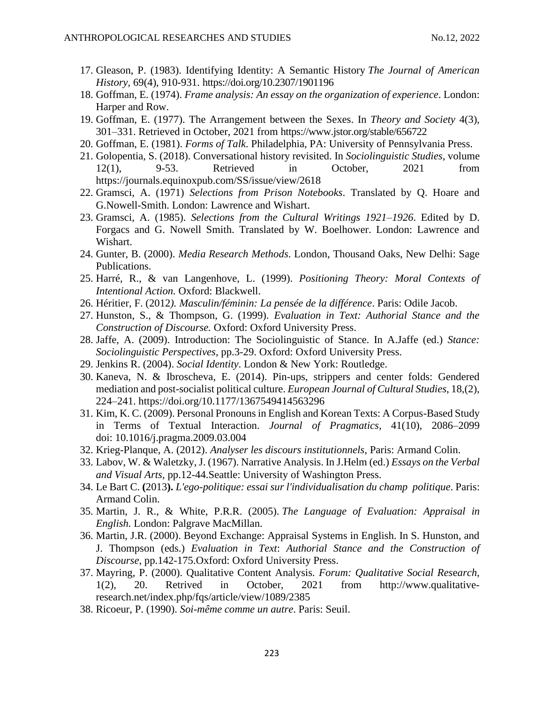- 17. Gleason, P. (1983). Identifying Identity: A Semantic History *The Journal of American History,* 69(4), 910-931. <https://doi.org/10.2307/1901196>
- 18. Goffman, E. (1974). *Frame analysis: An essay on the organization of experience*. London: Harper and Row.
- 19. Goffman, E. (1977). The Arrangement between the Sexes. In *Theory and Society* 4(3), 301–331. Retrieved in October, 2021 from https://www.jstor.org/stable/656722
- 20. Goffman, E. (1981). *Forms of Talk*. Philadelphia, PA: University of Pennsylvania Press.
- 21. Golopentia, S. (2018). Conversational history revisited. In *Sociolinguistic Studies*, volume 12(1), 9-53. Retrieved in October, 2021 from https://journals.equinoxpub.com/SS/issue/view/2618
- 22. Gramsci, A. (1971) *Selections from Prison Notebooks*. Translated by Q. Hoare and G.Nowell-Smith. London: Lawrence and Wishart.
- 23. Gramsci, A. (1985). *Selections from the Cultural Writings 1921–1926*. Edited by D. Forgacs and G. Nowell Smith. Translated by W. Boelhower. London: Lawrence and Wishart.
- 24. Gunter, B. (2000). *Media Research Methods*. London, Thousand Oaks, New Delhi: Sage Publications.
- 25. Harré, R., & van Langenhove, L. (1999). *Positioning Theory: Moral Contexts of Intentional Action.* Oxford: Blackwell.
- 26. Héritier, F. (2012*). Masculin/féminin: La pensée de la différence*. Paris: Odile Jacob.
- 27. Hunston, S., & Thompson, G. (1999). *Evaluation in Text: Authorial Stance and the Construction of Discourse.* Oxford: Oxford University Press.
- 28. Jaffe, A. (2009). Introduction: The Sociolinguistic of Stance. In A.Jaffe (ed.) *Stance: Sociolinguistic Perspectives*, pp.3-29. Oxford: Oxford University Press.
- 29. Jenkins R. (2004). *Social Identity*. London & New York: Routledge.
- 30. Kaneva, N. & Ibroscheva, E. (2014). Pin-ups, strippers and center folds: Gendered mediation and post-socialist political culture. *European Journal of Cultural Studies*, 18,(2), 224–241. [https://doi.org/10.1177/1367549414563296](https://doi.org/10.1177%2F1367549414563296)
- 31. Kim, K. C. (2009). Personal Pronouns in English and Korean Texts: A Corpus-Based Study in Terms of Textual Interaction. *Journal of Pragmatics,* 41(10), 2086–2099 doi: [10.1016/j.pragma.2009.03.004](http://dx.doi.org/10.1016/j.pragma.2009.03.004)
- 32. Krieg-Planque, A. (2012). *Analyser les discours institutionnels*, Paris: Armand Colin.
- 33. Labov, W. & Waletzky, J. (1967). Narrative Analysis. In J.Helm (ed.) *Essays on the Verbal and Visual Arts*, pp.12-44.Seattle: University of Washington Press.
- 34. Le Bart C. **(**2013**).** *L'ego-politique: essai sur l'individualisation du champ politique*. Paris: Armand Colin.
- 35. Martin, J. R., & White, P.R.R. (2005). *The Language of Evaluation: Appraisal in English.* London: Palgrave MacMillan.
- 36. Martin, J.R. (2000). Beyond Exchange: Appraisal Systems in English. In S. Hunston, and J. Thompson (eds.) *Evaluation in Text*: *Authorial Stance and the Construction of Discourse*, pp.142-175.Oxford: Oxford University Press.
- 37. Mayring, P. (2000). Qualitative Content Analysis. *Forum: Qualitative Social Res*e*arch*, 1(2), 20. Retrived in October, 2021 from http://www.qualitativeresearch.net/index.php/fqs/article/view/1089/2385
- 38. Ricoeur, P. (1990). *Soi-même comme un autre*. Paris: Seuil.